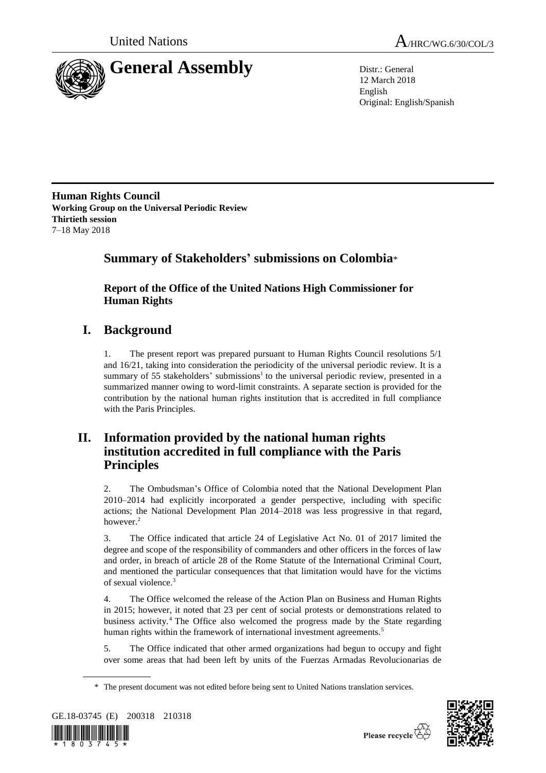



12 March 2018 English Original: English/Spanish

**Human Rights Council Working Group on the Universal Periodic Review Thirtieth session** 7–18 May 2018

# **Summary of Stakeholders' submissions on Colombia**\*

**Report of the Office of the United Nations High Commissioner for Human Rights**

# **I. Background**

1. The present report was prepared pursuant to Human Rights Council resolutions 5/1 and 16/21, taking into consideration the periodicity of the universal periodic review. It is a summary of 55 stakeholders' submissions<sup>1</sup> to the universal periodic review, presented in a summarized manner owing to word-limit constraints. A separate section is provided for the contribution by the national human rights institution that is accredited in full compliance with the Paris Principles.

# **II. Information provided by the national human rights institution accredited in full compliance with the Paris Principles**

2. The Ombudsman's Office of Colombia noted that the National Development Plan 2010–2014 had explicitly incorporated a gender perspective, including with specific actions; the National Development Plan 2014–2018 was less progressive in that regard, however.<sup>2</sup>

3. The Office indicated that article 24 of Legislative Act No. 01 of 2017 limited the degree and scope of the responsibility of commanders and other officers in the forces of law and order, in breach of article 28 of the Rome Statute of the International Criminal Court, and mentioned the particular consequences that that limitation would have for the victims of sexual violence.<sup>3</sup>

4. The Office welcomed the release of the Action Plan on Business and Human Rights in 2015; however, it noted that 23 per cent of social protests or demonstrations related to business activity.<sup>4</sup> The Office also welcomed the progress made by the State regarding human rights within the framework of international investment agreements.<sup>5</sup>

5. The Office indicated that other armed organizations had begun to occupy and fight over some areas that had been left by units of the Fuerzas Armadas Revolucionarias de

<sup>\*</sup> The present document was not edited before being sent to United Nations translation services.



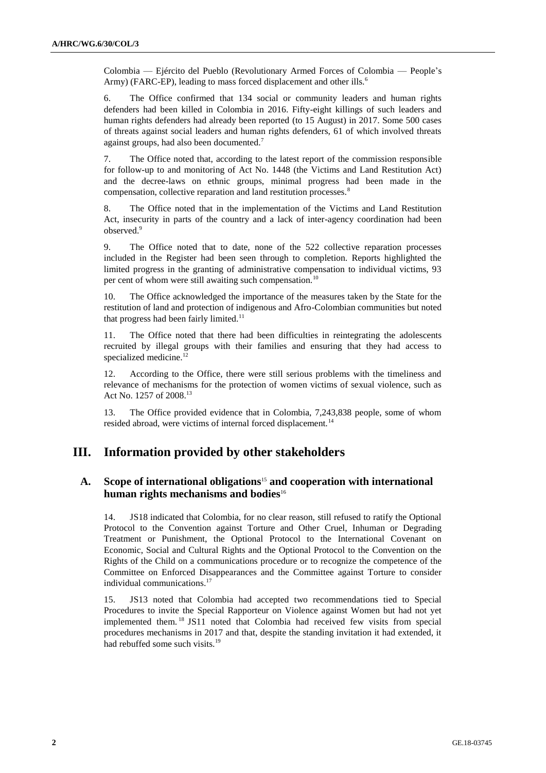Colombia — Ejército del Pueblo (Revolutionary Armed Forces of Colombia — People's Army) (FARC-EP), leading to mass forced displacement and other ills.<sup>6</sup>

6. The Office confirmed that 134 social or community leaders and human rights defenders had been killed in Colombia in 2016. Fifty-eight killings of such leaders and human rights defenders had already been reported (to 15 August) in 2017. Some 500 cases of threats against social leaders and human rights defenders, 61 of which involved threats against groups, had also been documented.<sup>7</sup>

7. The Office noted that, according to the latest report of the commission responsible for follow-up to and monitoring of Act No. 1448 (the Victims and Land Restitution Act) and the decree-laws on ethnic groups, minimal progress had been made in the compensation, collective reparation and land restitution processes.<sup>8</sup>

8. The Office noted that in the implementation of the Victims and Land Restitution Act, insecurity in parts of the country and a lack of inter-agency coordination had been observed.<sup>9</sup>

9. The Office noted that to date, none of the 522 collective reparation processes included in the Register had been seen through to completion. Reports highlighted the limited progress in the granting of administrative compensation to individual victims, 93 per cent of whom were still awaiting such compensation.<sup>10</sup>

10. The Office acknowledged the importance of the measures taken by the State for the restitution of land and protection of indigenous and Afro-Colombian communities but noted that progress had been fairly limited. $11$ 

11. The Office noted that there had been difficulties in reintegrating the adolescents recruited by illegal groups with their families and ensuring that they had access to specialized medicine.<sup>12</sup>

12. According to the Office, there were still serious problems with the timeliness and relevance of mechanisms for the protection of women victims of sexual violence, such as Act No. 1257 of 2008.<sup>13</sup>

13. The Office provided evidence that in Colombia, 7,243,838 people, some of whom resided abroad, were victims of internal forced displacement.<sup>14</sup>

## **III. Information provided by other stakeholders**

## **A. Scope of international obligations**<sup>15</sup> **and cooperation with international human rights mechanisms and bodies**<sup>16</sup>

14. JS18 indicated that Colombia, for no clear reason, still refused to ratify the Optional Protocol to the Convention against Torture and Other Cruel, Inhuman or Degrading Treatment or Punishment, the Optional Protocol to the International Covenant on Economic, Social and Cultural Rights and the Optional Protocol to the Convention on the Rights of the Child on a communications procedure or to recognize the competence of the Committee on Enforced Disappearances and the Committee against Torture to consider individual communications.<sup>17</sup>

15. JS13 noted that Colombia had accepted two recommendations tied to Special Procedures to invite the Special Rapporteur on Violence against Women but had not yet implemented them. <sup>18</sup> JS11 noted that Colombia had received few visits from special procedures mechanisms in 2017 and that, despite the standing invitation it had extended, it had rebuffed some such visits.<sup>19</sup>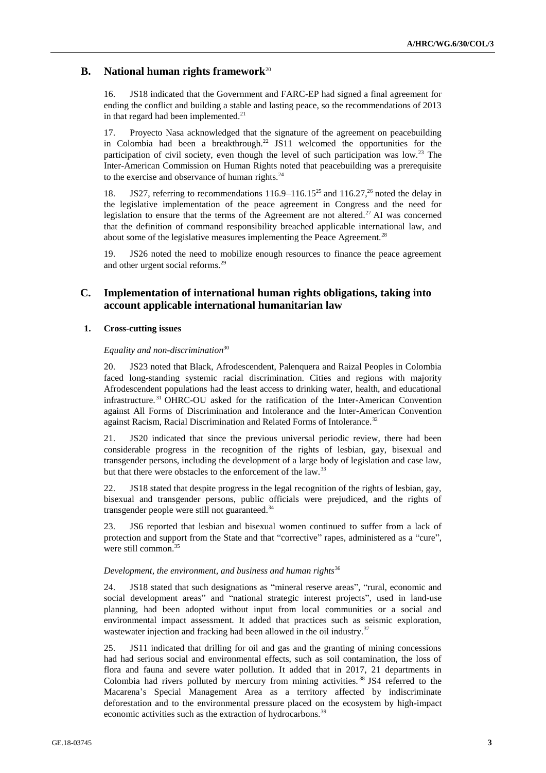## **B. National human rights framework**<sup>20</sup>

16. JS18 indicated that the Government and FARC-EP had signed a final agreement for ending the conflict and building a stable and lasting peace, so the recommendations of 2013 in that regard had been implemented. $21$ 

17. Proyecto Nasa acknowledged that the signature of the agreement on peacebuilding in Colombia had been a breakthrough.<sup>22</sup> JS11 welcomed the opportunities for the participation of civil society, even though the level of such participation was low.<sup>23</sup> The Inter-American Commission on Human Rights noted that peacebuilding was a prerequisite to the exercise and observance of human rights. $24$ 

18. JS27, referring to recommendations  $116.9-116.15^{25}$  and  $116.27<sup>26</sup>$  noted the delay in the legislative implementation of the peace agreement in Congress and the need for legislation to ensure that the terms of the Agreement are not altered.<sup>27</sup> AI was concerned that the definition of command responsibility breached applicable international law, and about some of the legislative measures implementing the Peace Agreement.<sup>28</sup>

19. JS26 noted the need to mobilize enough resources to finance the peace agreement and other urgent social reforms.<sup>29</sup>

## **C. Implementation of international human rights obligations, taking into account applicable international humanitarian law**

## **1. Cross-cutting issues**

## *Equality and non-discrimination*<sup>30</sup>

20. JS23 noted that Black, Afrodescendent, Palenquera and Raizal Peoples in Colombia faced long-standing systemic racial discrimination. Cities and regions with majority Afrodescendent populations had the least access to drinking water, health, and educational infrastructure. <sup>31</sup> OHRC-OU asked for the ratification of the Inter-American Convention against All Forms of Discrimination and Intolerance and the Inter-American Convention against Racism, Racial Discrimination and Related Forms of Intolerance.<sup>32</sup>

21. JS20 indicated that since the previous universal periodic review, there had been considerable progress in the recognition of the rights of lesbian, gay, bisexual and transgender persons, including the development of a large body of legislation and case law, but that there were obstacles to the enforcement of the law.<sup>33</sup>

22. JS18 stated that despite progress in the legal recognition of the rights of lesbian, gay, bisexual and transgender persons, public officials were prejudiced, and the rights of transgender people were still not guaranteed.<sup>34</sup>

23. JS6 reported that lesbian and bisexual women continued to suffer from a lack of protection and support from the State and that "corrective" rapes, administered as a "cure", were still common.<sup>35</sup>

## *Development, the environment, and business and human rights*<sup>36</sup>

24. JS18 stated that such designations as "mineral reserve areas", "rural, economic and social development areas" and "national strategic interest projects", used in land-use planning, had been adopted without input from local communities or a social and environmental impact assessment. It added that practices such as seismic exploration, wastewater injection and fracking had been allowed in the oil industry.<sup>37</sup>

25. JS11 indicated that drilling for oil and gas and the granting of mining concessions had had serious social and environmental effects, such as soil contamination, the loss of flora and fauna and severe water pollution. It added that in 2017, 21 departments in Colombia had rivers polluted by mercury from mining activities. <sup>38</sup> JS4 referred to the Macarena's Special Management Area as a territory affected by indiscriminate deforestation and to the environmental pressure placed on the ecosystem by high-impact economic activities such as the extraction of hydrocarbons.<sup>39</sup>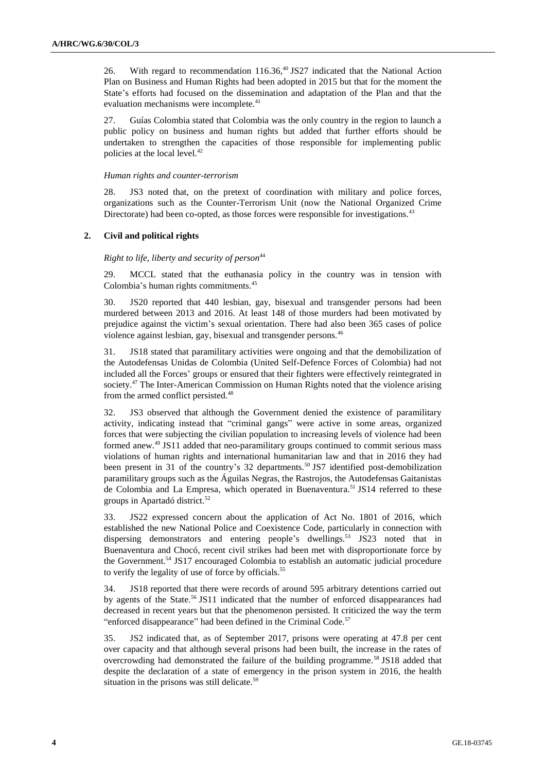26. With regard to recommendation 116.36,<sup>40</sup> JS27 indicated that the National Action Plan on Business and Human Rights had been adopted in 2015 but that for the moment the State's efforts had focused on the dissemination and adaptation of the Plan and that the evaluation mechanisms were incomplete.<sup>41</sup>

27. Guías Colombia stated that Colombia was the only country in the region to launch a public policy on business and human rights but added that further efforts should be undertaken to strengthen the capacities of those responsible for implementing public policies at the local level.<sup>42</sup>

#### *Human rights and counter-terrorism*

28. JS3 noted that, on the pretext of coordination with military and police forces, organizations such as the Counter-Terrorism Unit (now the National Organized Crime Directorate) had been co-opted, as those forces were responsible for investigations.<sup>43</sup>

## **2. Civil and political rights**

## *Right to life, liberty and security of person*<sup>44</sup>

29. MCCL stated that the euthanasia policy in the country was in tension with Colombia's human rights commitments.<sup>45</sup>

30. JS20 reported that 440 lesbian, gay, bisexual and transgender persons had been murdered between 2013 and 2016. At least 148 of those murders had been motivated by prejudice against the victim's sexual orientation. There had also been 365 cases of police violence against lesbian, gay, bisexual and transgender persons.<sup>46</sup>

31. JS18 stated that paramilitary activities were ongoing and that the demobilization of the Autodefensas Unidas de Colombia (United Self-Defence Forces of Colombia) had not included all the Forces' groups or ensured that their fighters were effectively reintegrated in society.<sup>47</sup> The Inter-American Commission on Human Rights noted that the violence arising from the armed conflict persisted.<sup>48</sup>

32. JS3 observed that although the Government denied the existence of paramilitary activity, indicating instead that "criminal gangs" were active in some areas, organized forces that were subjecting the civilian population to increasing levels of violence had been formed anew.<sup>49</sup> JS11 added that neo-paramilitary groups continued to commit serious mass violations of human rights and international humanitarian law and that in 2016 they had been present in 31 of the country's 32 departments.<sup>50</sup> JS7 identified post-demobilization paramilitary groups such as the Águilas Negras, the Rastrojos, the Autodefensas Gaitanistas de Colombia and La Empresa, which operated in Buenaventura.<sup>51</sup> JS14 referred to these groups in Apartadó district.<sup>52</sup>

33. JS22 expressed concern about the application of Act No. 1801 of 2016, which established the new National Police and Coexistence Code, particularly in connection with dispersing demonstrators and entering people's dwellings.<sup>53</sup> JS23 noted that in Buenaventura and Chocó, recent civil strikes had been met with disproportionate force by the Government.<sup>54</sup> JS17 encouraged Colombia to establish an automatic judicial procedure to verify the legality of use of force by officials.<sup>55</sup>

34. JS18 reported that there were records of around 595 arbitrary detentions carried out by agents of the State.<sup>56</sup> JS11 indicated that the number of enforced disappearances had decreased in recent years but that the phenomenon persisted. It criticized the way the term "enforced disappearance" had been defined in the Criminal Code.<sup>57</sup>

35. JS2 indicated that, as of September 2017, prisons were operating at 47.8 per cent over capacity and that although several prisons had been built, the increase in the rates of overcrowding had demonstrated the failure of the building programme.<sup>58</sup> JS18 added that despite the declaration of a state of emergency in the prison system in 2016, the health situation in the prisons was still delicate.<sup>59</sup>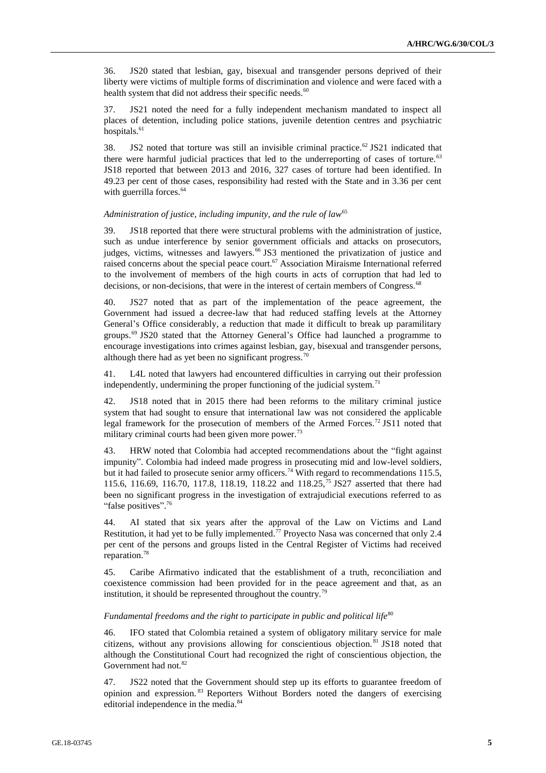36. JS20 stated that lesbian, gay, bisexual and transgender persons deprived of their liberty were victims of multiple forms of discrimination and violence and were faced with a health system that did not address their specific needs.<sup>60</sup>

37. JS21 noted the need for a fully independent mechanism mandated to inspect all places of detention, including police stations, juvenile detention centres and psychiatric hospitals.<sup>61</sup>

38. JS2 noted that torture was still an invisible criminal practice.<sup>62</sup> JS21 indicated that there were harmful judicial practices that led to the underreporting of cases of torture.<sup>63</sup> JS18 reported that between 2013 and 2016, 327 cases of torture had been identified. In 49.23 per cent of those cases, responsibility had rested with the State and in 3.36 per cent with guerrilla forces.<sup>64</sup>

#### *Administration of justice, including impunity, and the rule of law*<sup>65</sup>

39. JS18 reported that there were structural problems with the administration of justice, such as undue interference by senior government officials and attacks on prosecutors, judges, victims, witnesses and lawyers.<sup>66</sup> JS3 mentioned the privatization of justice and raised concerns about the special peace court.<sup>67</sup> Association Miraisme International referred to the involvement of members of the high courts in acts of corruption that had led to decisions, or non-decisions, that were in the interest of certain members of Congress.<sup>68</sup>

40. JS27 noted that as part of the implementation of the peace agreement, the Government had issued a decree-law that had reduced staffing levels at the Attorney General's Office considerably, a reduction that made it difficult to break up paramilitary groups.<sup>69</sup> JS20 stated that the Attorney General's Office had launched a programme to encourage investigations into crimes against lesbian, gay, bisexual and transgender persons, although there had as yet been no significant progress.<sup>70</sup>

41. L4L noted that lawyers had encountered difficulties in carrying out their profession independently, undermining the proper functioning of the judicial system.<sup>71</sup>

42. JS18 noted that in 2015 there had been reforms to the military criminal justice system that had sought to ensure that international law was not considered the applicable legal framework for the prosecution of members of the Armed Forces.<sup>72</sup> JS11 noted that military criminal courts had been given more power.<sup>73</sup>

43. HRW noted that Colombia had accepted recommendations about the "fight against impunity". Colombia had indeed made progress in prosecuting mid and low-level soldiers, but it had failed to prosecute senior army officers.<sup>74</sup> With regard to recommendations 115.5, 115.6, 116.69, 116.70, 117.8, 118.19, 118.22 and 118.25,<sup>75</sup> JS27 asserted that there had been no significant progress in the investigation of extrajudicial executions referred to as "false positives".<sup>76</sup>

44. AI stated that six years after the approval of the Law on Victims and Land Restitution, it had yet to be fully implemented.<sup>77</sup> Proyecto Nasa was concerned that only 2.4 per cent of the persons and groups listed in the Central Register of Victims had received reparation.<sup>78</sup>

45. Caribe Afirmativo indicated that the establishment of a truth, reconciliation and coexistence commission had been provided for in the peace agreement and that, as an institution, it should be represented throughout the country.<sup>79</sup>

#### Fundamental freedoms and the right to participate in public and political life<sup>80</sup>

46. IFO stated that Colombia retained a system of obligatory military service for male citizens, without any provisions allowing for conscientious objection. <sup>81</sup> JS18 noted that although the Constitutional Court had recognized the right of conscientious objection, the Government had not.<sup>82</sup>

47. JS22 noted that the Government should step up its efforts to guarantee freedom of opinion and expression. <sup>83</sup> Reporters Without Borders noted the dangers of exercising editorial independence in the media.<sup>84</sup>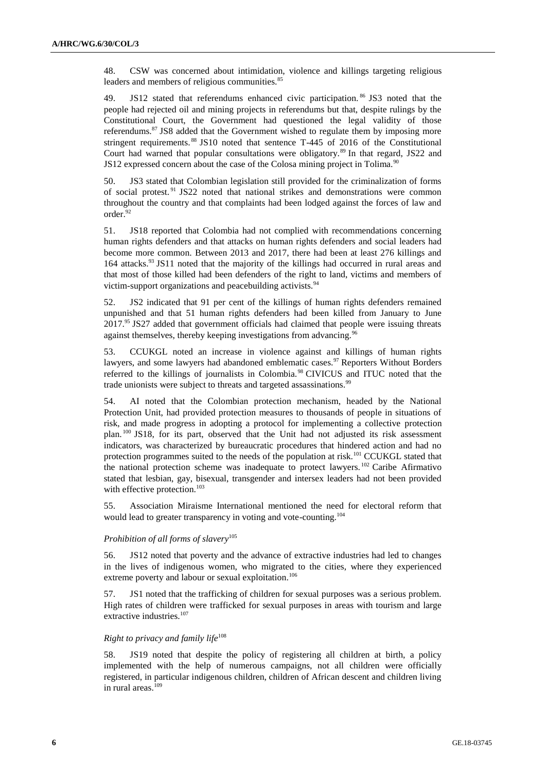48. CSW was concerned about intimidation, violence and killings targeting religious leaders and members of religious communities.<sup>85</sup>

49. JS12 stated that referendums enhanced civic participation.<sup>86</sup> JS3 noted that the people had rejected oil and mining projects in referendums but that, despite rulings by the Constitutional Court, the Government had questioned the legal validity of those referendums.<sup>87</sup> JS8 added that the Government wished to regulate them by imposing more stringent requirements. <sup>88</sup> JS10 noted that sentence T-445 of 2016 of the Constitutional Court had warned that popular consultations were obligatory.<sup>89</sup> In that regard, JS22 and JS12 expressed concern about the case of the Colosa mining project in Tolima.<sup>90</sup>

50. JS3 stated that Colombian legislation still provided for the criminalization of forms of social protest.<sup>91</sup> JS22 noted that national strikes and demonstrations were common throughout the country and that complaints had been lodged against the forces of law and order.<sup>92</sup>

51. JS18 reported that Colombia had not complied with recommendations concerning human rights defenders and that attacks on human rights defenders and social leaders had become more common. Between 2013 and 2017, there had been at least 276 killings and 164 attacks.<sup>93</sup> JS11 noted that the majority of the killings had occurred in rural areas and that most of those killed had been defenders of the right to land, victims and members of victim-support organizations and peacebuilding activists.<sup>94</sup>

52. JS2 indicated that 91 per cent of the killings of human rights defenders remained unpunished and that 51 human rights defenders had been killed from January to June 2017.<sup>95</sup> JS27 added that government officials had claimed that people were issuing threats against themselves, thereby keeping investigations from advancing.<sup>96</sup>

53. CCUKGL noted an increase in violence against and killings of human rights lawyers, and some lawyers had abandoned emblematic cases.<sup>97</sup> Reporters Without Borders referred to the killings of journalists in Colombia.<sup>98</sup> CIVICUS and ITUC noted that the trade unionists were subject to threats and targeted assassinations.<sup>99</sup>

54. AI noted that the Colombian protection mechanism, headed by the National Protection Unit, had provided protection measures to thousands of people in situations of risk, and made progress in adopting a protocol for implementing a collective protection plan. <sup>100</sup> JS18, for its part, observed that the Unit had not adjusted its risk assessment indicators, was characterized by bureaucratic procedures that hindered action and had no protection programmes suited to the needs of the population at risk.<sup>101</sup> CCUKGL stated that the national protection scheme was inadequate to protect lawyers. <sup>102</sup> Caribe Afirmativo stated that lesbian, gay, bisexual, transgender and intersex leaders had not been provided with effective protection.<sup>103</sup>

55. Association Miraisme International mentioned the need for electoral reform that would lead to greater transparency in voting and vote-counting.<sup>104</sup>

## *Prohibition of all forms of slavery*<sup>105</sup>

56. JS12 noted that poverty and the advance of extractive industries had led to changes in the lives of indigenous women, who migrated to the cities, where they experienced extreme poverty and labour or sexual exploitation.<sup>106</sup>

57. JS1 noted that the trafficking of children for sexual purposes was a serious problem. High rates of children were trafficked for sexual purposes in areas with tourism and large extractive industries.<sup>107</sup>

## *Right to privacy and family life*<sup>108</sup>

58. JS19 noted that despite the policy of registering all children at birth, a policy implemented with the help of numerous campaigns, not all children were officially registered, in particular indigenous children, children of African descent and children living in rural areas.<sup>109</sup>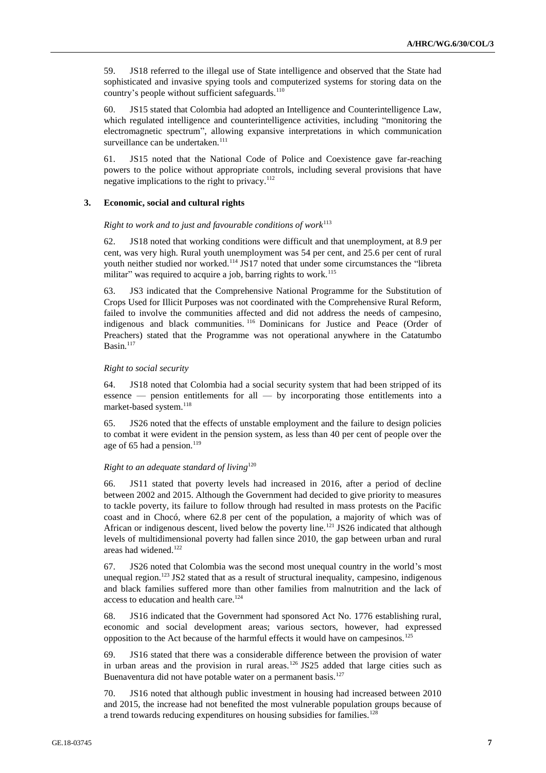59. JS18 referred to the illegal use of State intelligence and observed that the State had sophisticated and invasive spying tools and computerized systems for storing data on the country's people without sufficient safeguards. $110$ 

60. JS15 stated that Colombia had adopted an Intelligence and Counterintelligence Law, which regulated intelligence and counterintelligence activities, including "monitoring the electromagnetic spectrum", allowing expansive interpretations in which communication surveillance can be undertaken. $111$ 

61. JS15 noted that the National Code of Police and Coexistence gave far-reaching powers to the police without appropriate controls, including several provisions that have negative implications to the right to privacy.<sup>112</sup>

## **3. Economic, social and cultural rights**

## *Right to work and to just and favourable conditions of work*<sup>113</sup>

62. JS18 noted that working conditions were difficult and that unemployment, at 8.9 per cent, was very high. Rural youth unemployment was 54 per cent, and 25.6 per cent of rural youth neither studied nor worked.<sup>114</sup> JS17 noted that under some circumstances the "libreta militar" was required to acquire a job, barring rights to work.<sup>115</sup>

63. JS3 indicated that the Comprehensive National Programme for the Substitution of Crops Used for Illicit Purposes was not coordinated with the Comprehensive Rural Reform, failed to involve the communities affected and did not address the needs of campesino, indigenous and black communities. <sup>116</sup> Dominicans for Justice and Peace (Order of Preachers) stated that the Programme was not operational anywhere in the Catatumbo Basin. $117$ 

#### *Right to social security*

64. JS18 noted that Colombia had a social security system that had been stripped of its essence — pension entitlements for all — by incorporating those entitlements into a market-based system.<sup>118</sup>

65. JS26 noted that the effects of unstable employment and the failure to design policies to combat it were evident in the pension system, as less than 40 per cent of people over the age of 65 had a pension.<sup>119</sup>

## *Right to an adequate standard of living*<sup>120</sup>

66. JS11 stated that poverty levels had increased in 2016, after a period of decline between 2002 and 2015. Although the Government had decided to give priority to measures to tackle poverty, its failure to follow through had resulted in mass protests on the Pacific coast and in Chocó, where 62.8 per cent of the population, a majority of which was of African or indigenous descent, lived below the poverty line.<sup>121</sup> JS26 indicated that although levels of multidimensional poverty had fallen since 2010, the gap between urban and rural areas had widened.<sup>122</sup>

67. JS26 noted that Colombia was the second most unequal country in the world's most unequal region.<sup>123</sup> JS2 stated that as a result of structural inequality, campesino, indigenous and black families suffered more than other families from malnutrition and the lack of access to education and health care.<sup>124</sup>

68. JS16 indicated that the Government had sponsored Act No. 1776 establishing rural, economic and social development areas; various sectors, however, had expressed opposition to the Act because of the harmful effects it would have on campesinos.<sup>125</sup>

69. JS16 stated that there was a considerable difference between the provision of water in urban areas and the provision in rural areas.<sup>126</sup> JS25 added that large cities such as Buenaventura did not have potable water on a permanent basis.<sup>127</sup>

70. JS16 noted that although public investment in housing had increased between 2010 and 2015, the increase had not benefited the most vulnerable population groups because of a trend towards reducing expenditures on housing subsidies for families.<sup>128</sup>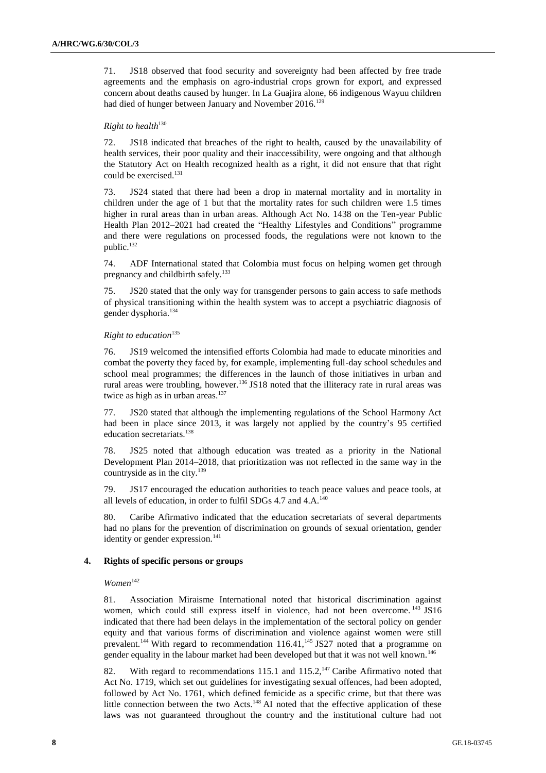71. JS18 observed that food security and sovereignty had been affected by free trade agreements and the emphasis on agro-industrial crops grown for export, and expressed concern about deaths caused by hunger. In La Guajira alone, 66 indigenous Wayuu children had died of hunger between January and November 2016.<sup>129</sup>

## **Right to health**<sup>130</sup>

72. JS18 indicated that breaches of the right to health, caused by the unavailability of health services, their poor quality and their inaccessibility, were ongoing and that although the Statutory Act on Health recognized health as a right, it did not ensure that that right could be exercised.<sup>131</sup>

73. JS24 stated that there had been a drop in maternal mortality and in mortality in children under the age of 1 but that the mortality rates for such children were 1.5 times higher in rural areas than in urban areas. Although Act No. 1438 on the Ten-year Public Health Plan 2012–2021 had created the "Healthy Lifestyles and Conditions" programme and there were regulations on processed foods, the regulations were not known to the public.<sup>132</sup>

74. ADF International stated that Colombia must focus on helping women get through pregnancy and childbirth safely.<sup>133</sup>

75. JS20 stated that the only way for transgender persons to gain access to safe methods of physical transitioning within the health system was to accept a psychiatric diagnosis of gender dysphoria.<sup>134</sup>

#### *Right to education*<sup>135</sup>

76. JS19 welcomed the intensified efforts Colombia had made to educate minorities and combat the poverty they faced by, for example, implementing full-day school schedules and school meal programmes; the differences in the launch of those initiatives in urban and rural areas were troubling, however.<sup>136</sup> JS18 noted that the illiteracy rate in rural areas was twice as high as in urban areas.<sup>137</sup>

77. JS20 stated that although the implementing regulations of the School Harmony Act had been in place since 2013, it was largely not applied by the country's 95 certified education secretariats.<sup>138</sup>

78. JS25 noted that although education was treated as a priority in the National Development Plan 2014–2018, that prioritization was not reflected in the same way in the countryside as in the city.<sup>139</sup>

79. JS17 encouraged the education authorities to teach peace values and peace tools, at all levels of education, in order to fulfil SDGs 4.7 and 4.A.<sup>140</sup>

80. Caribe Afirmativo indicated that the education secretariats of several departments had no plans for the prevention of discrimination on grounds of sexual orientation, gender identity or gender expression.<sup>141</sup>

#### **4. Rights of specific persons or groups**

 $Women$ <sup>142</sup>

81. Association Miraisme International noted that historical discrimination against women, which could still express itself in violence, had not been overcome.<sup>143</sup> JS16 indicated that there had been delays in the implementation of the sectoral policy on gender equity and that various forms of discrimination and violence against women were still prevalent.<sup>144</sup> With regard to recommendation  $116.41$ ,<sup>145</sup> JS27 noted that a programme on gender equality in the labour market had been developed but that it was not well known.<sup>146</sup>

82. With regard to recommendations 115.1 and 115.2,<sup>147</sup> Caribe Afirmativo noted that Act No. 1719, which set out guidelines for investigating sexual offences, had been adopted, followed by Act No. 1761, which defined femicide as a specific crime, but that there was little connection between the two Acts.<sup>148</sup> AI noted that the effective application of these laws was not guaranteed throughout the country and the institutional culture had not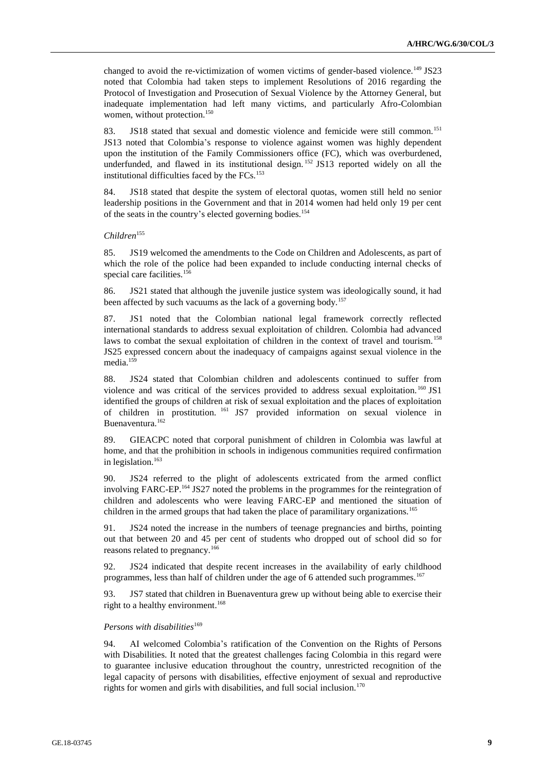changed to avoid the re-victimization of women victims of gender-based violence.<sup>149</sup> JS23 noted that Colombia had taken steps to implement Resolutions of 2016 regarding the Protocol of Investigation and Prosecution of Sexual Violence by the Attorney General, but inadequate implementation had left many victims, and particularly Afro-Colombian women, without protection.<sup>150</sup>

83. JS18 stated that sexual and domestic violence and femicide were still common.<sup>151</sup> JS13 noted that Colombia's response to violence against women was highly dependent upon the institution of the Family Commissioners office (FC), which was overburdened, underfunded, and flawed in its institutional design. <sup>152</sup> JS13 reported widely on all the institutional difficulties faced by the  $FCs$ .<sup>153</sup>

84. JS18 stated that despite the system of electoral quotas, women still held no senior leadership positions in the Government and that in 2014 women had held only 19 per cent of the seats in the country's elected governing bodies.<sup>154</sup>

#### *Children*<sup>155</sup>

85. JS19 welcomed the amendments to the Code on Children and Adolescents, as part of which the role of the police had been expanded to include conducting internal checks of special care facilities.<sup>156</sup>

86. JS21 stated that although the juvenile justice system was ideologically sound, it had been affected by such vacuums as the lack of a governing body.<sup>157</sup>

87. JS1 noted that the Colombian national legal framework correctly reflected international standards to address sexual exploitation of children. Colombia had advanced laws to combat the sexual exploitation of children in the context of travel and tourism.<sup>158</sup> JS25 expressed concern about the inadequacy of campaigns against sexual violence in the media.<sup>159</sup>

88. JS24 stated that Colombian children and adolescents continued to suffer from violence and was critical of the services provided to address sexual exploitation.<sup>160</sup> JS1 identified the groups of children at risk of sexual exploitation and the places of exploitation of children in prostitution. <sup>161</sup> JS7 provided information on sexual violence in Buenaventura.<sup>162</sup>

89. GIEACPC noted that corporal punishment of children in Colombia was lawful at home, and that the prohibition in schools in indigenous communities required confirmation in legislation. $163$ 

90. JS24 referred to the plight of adolescents extricated from the armed conflict involving FARC-EP.<sup>164</sup> JS27 noted the problems in the programmes for the reintegration of children and adolescents who were leaving FARC-EP and mentioned the situation of children in the armed groups that had taken the place of paramilitary organizations.<sup>165</sup>

91. JS24 noted the increase in the numbers of teenage pregnancies and births, pointing out that between 20 and 45 per cent of students who dropped out of school did so for reasons related to pregnancy.<sup>166</sup>

92. JS24 indicated that despite recent increases in the availability of early childhood programmes, less than half of children under the age of 6 attended such programmes.<sup>167</sup>

93. JS7 stated that children in Buenaventura grew up without being able to exercise their right to a healthy environment.<sup>168</sup>

## *Persons with disabilities*<sup>169</sup>

94. AI welcomed Colombia's ratification of the Convention on the Rights of Persons with Disabilities. It noted that the greatest challenges facing Colombia in this regard were to guarantee inclusive education throughout the country, unrestricted recognition of the legal capacity of persons with disabilities, effective enjoyment of sexual and reproductive rights for women and girls with disabilities, and full social inclusion.<sup>170</sup>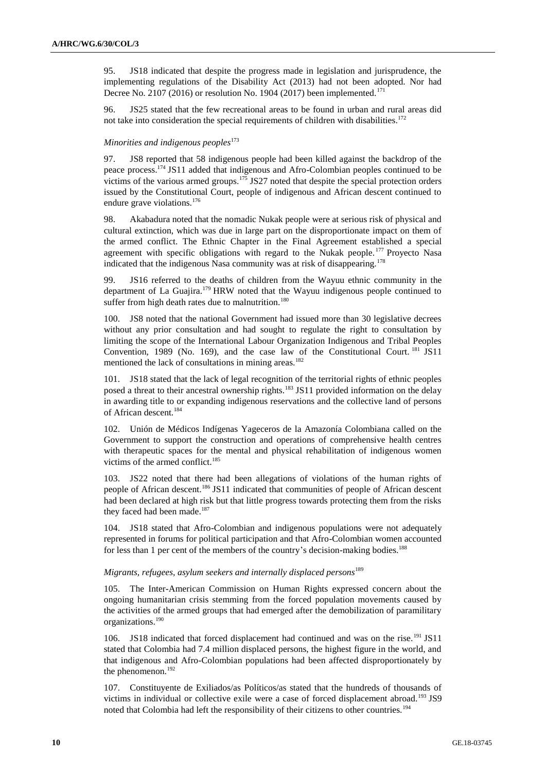95. JS18 indicated that despite the progress made in legislation and jurisprudence, the implementing regulations of the Disability Act (2013) had not been adopted. Nor had Decree No. 2107 (2016) or resolution No. 1904 (2017) been implemented.<sup>171</sup>

96. JS25 stated that the few recreational areas to be found in urban and rural areas did not take into consideration the special requirements of children with disabilities.<sup>172</sup>

#### *Minorities and indigenous peoples*<sup>173</sup>

97. JS8 reported that 58 indigenous people had been killed against the backdrop of the peace process.<sup>174</sup> JS11 added that indigenous and Afro-Colombian peoples continued to be victims of the various armed groups.<sup>175</sup> JS27 noted that despite the special protection orders issued by the Constitutional Court, people of indigenous and African descent continued to endure grave violations.<sup>176</sup>

98. Akabadura noted that the nomadic Nukak people were at serious risk of physical and cultural extinction, which was due in large part on the disproportionate impact on them of the armed conflict. The Ethnic Chapter in the Final Agreement established a special agreement with specific obligations with regard to the Nukak people.<sup>177</sup> Proyecto Nasa indicated that the indigenous Nasa community was at risk of disappearing.<sup>178</sup>

99. JS16 referred to the deaths of children from the Wayuu ethnic community in the department of La Guajira.<sup>179</sup> HRW noted that the Wayuu indigenous people continued to suffer from high death rates due to malnutrition.<sup>180</sup>

100. JS8 noted that the national Government had issued more than 30 legislative decrees without any prior consultation and had sought to regulate the right to consultation by limiting the scope of the International Labour Organization Indigenous and Tribal Peoples Convention, 1989 (No. 169), and the case law of the Constitutional Court. <sup>181</sup> JS11 mentioned the lack of consultations in mining areas.<sup>182</sup>

101. JS18 stated that the lack of legal recognition of the territorial rights of ethnic peoples posed a threat to their ancestral ownership rights.<sup>183</sup> JS11 provided information on the delay in awarding title to or expanding indigenous reservations and the collective land of persons of African descent.<sup>184</sup>

102. Unión de Médicos Indígenas Yageceros de la Amazonía Colombiana called on the Government to support the construction and operations of comprehensive health centres with therapeutic spaces for the mental and physical rehabilitation of indigenous women victims of the armed conflict.<sup>185</sup>

103. JS22 noted that there had been allegations of violations of the human rights of people of African descent.<sup>186</sup> JS11 indicated that communities of people of African descent had been declared at high risk but that little progress towards protecting them from the risks they faced had been made.<sup>187</sup>

104. JS18 stated that Afro-Colombian and indigenous populations were not adequately represented in forums for political participation and that Afro-Colombian women accounted for less than 1 per cent of the members of the country's decision-making bodies.<sup>188</sup>

## *Migrants, refugees, asylum seekers and internally displaced persons*<sup>189</sup>

105. The Inter-American Commission on Human Rights expressed concern about the ongoing humanitarian crisis stemming from the forced population movements caused by the activities of the armed groups that had emerged after the demobilization of paramilitary organizations.<sup>190</sup>

106. JS18 indicated that forced displacement had continued and was on the rise.<sup>191</sup> JS11 stated that Colombia had 7.4 million displaced persons, the highest figure in the world, and that indigenous and Afro-Colombian populations had been affected disproportionately by the phenomenon.<sup>192</sup>

107. Constituyente de Exiliados/as Políticos/as stated that the hundreds of thousands of victims in individual or collective exile were a case of forced displacement abroad.<sup>193</sup> JS9 noted that Colombia had left the responsibility of their citizens to other countries.<sup>194</sup>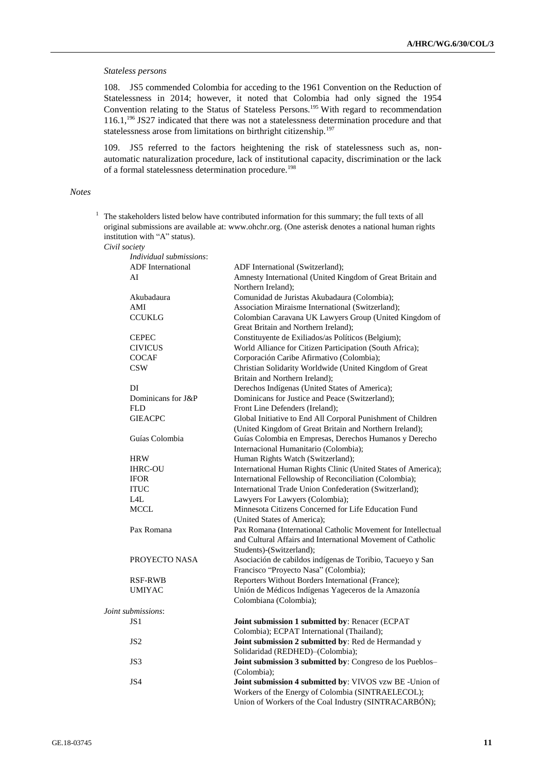## *Stateless persons*

108. JS5 commended Colombia for acceding to the 1961 Convention on the Reduction of Statelessness in 2014; however, it noted that Colombia had only signed the 1954 Convention relating to the Status of Stateless Persons.<sup>195</sup> With regard to recommendation 116.1,<sup>196</sup> JS27 indicated that there was not a statelessness determination procedure and that statelessness arose from limitations on birthright citizenship.<sup>197</sup>

109. JS5 referred to the factors heightening the risk of statelessness such as, nonautomatic naturalization procedure, lack of institutional capacity, discrimination or the lack of a formal statelessness determination procedure.<sup>198</sup>

## *Notes*

| $\frac{1}{1}$ The stakeholders listed below have contributed information for this summary; the full texts of all |
|------------------------------------------------------------------------------------------------------------------|
| original submissions are available at: www.ohchr.org. (One asterisk denotes a national human rights              |
| institution with "A" status).                                                                                    |
| Civil society                                                                                                    |

| Individual submissions:  |                                                               |
|--------------------------|---------------------------------------------------------------|
| <b>ADF</b> International | ADF International (Switzerland);                              |
| AI                       | Amnesty International (United Kingdom of Great Britain and    |
|                          | Northern Ireland);                                            |
| Akubadaura               | Comunidad de Juristas Akubadaura (Colombia);                  |
| AMI                      | Association Miraisme International (Switzerland);             |
| <b>CCUKLG</b>            | Colombian Caravana UK Lawyers Group (United Kingdom of        |
|                          | Great Britain and Northern Ireland);                          |
| <b>CEPEC</b>             | Constituyente de Exiliados/as Políticos (Belgium);            |
| <b>CIVICUS</b>           | World Alliance for Citizen Participation (South Africa);      |
| <b>COCAF</b>             | Corporación Caribe Afirmativo (Colombia);                     |
| <b>CSW</b>               | Christian Solidarity Worldwide (United Kingdom of Great       |
|                          | Britain and Northern Ireland);                                |
| DI                       | Derechos Indígenas (United States of America);                |
| Dominicans for J&P       | Dominicans for Justice and Peace (Switzerland);               |
| <b>FLD</b>               | Front Line Defenders (Ireland);                               |
| <b>GIEACPC</b>           | Global Initiative to End All Corporal Punishment of Children  |
|                          | (United Kingdom of Great Britain and Northern Ireland);       |
| Guías Colombia           | Guías Colombia en Empresas, Derechos Humanos y Derecho        |
|                          | Internacional Humanitario (Colombia);                         |
| <b>HRW</b>               | Human Rights Watch (Switzerland);                             |
| <b>IHRC-OU</b>           | International Human Rights Clinic (United States of America); |
| <b>IFOR</b>              | International Fellowship of Reconciliation (Colombia);        |
| <b>ITUC</b>              | International Trade Union Confederation (Switzerland);        |
| L4L                      | Lawyers For Lawyers (Colombia);                               |
| <b>MCCL</b>              | Minnesota Citizens Concerned for Life Education Fund          |
|                          | (United States of America);                                   |
| Pax Romana               | Pax Romana (International Catholic Movement for Intellectual  |
|                          | and Cultural Affairs and International Movement of Catholic   |
|                          | Students)-(Switzerland);                                      |
| PROYECTO NASA            | Asociación de cabildos indígenas de Toribio, Tacueyo y San    |
|                          | Francisco "Proyecto Nasa" (Colombia);                         |
| <b>RSF-RWB</b>           | Reporters Without Borders International (France);             |
| <b>UMIYAC</b>            | Unión de Médicos Indígenas Yageceros de la Amazonía           |
|                          | Colombiana (Colombia);                                        |
| Joint submissions:       |                                                               |
| JS1                      | Joint submission 1 submitted by: Renacer (ECPAT               |
|                          | Colombia); ECPAT International (Thailand);                    |
| JS <sub>2</sub>          | Joint submission 2 submitted by: Red de Hermandad y           |
|                          |                                                               |
|                          | Solidaridad (REDHED)-(Colombia);                              |
| JS3                      | Joint submission 3 submitted by: Congreso de los Pueblos-     |
|                          | (Colombia);                                                   |
| JS4                      | Joint submission 4 submitted by: VIVOS vzw BE -Union of       |
|                          | Workers of the Energy of Colombia (SINTRAELECOL);             |
|                          | Union of Workers of the Coal Industry (SINTRACARBÓN);         |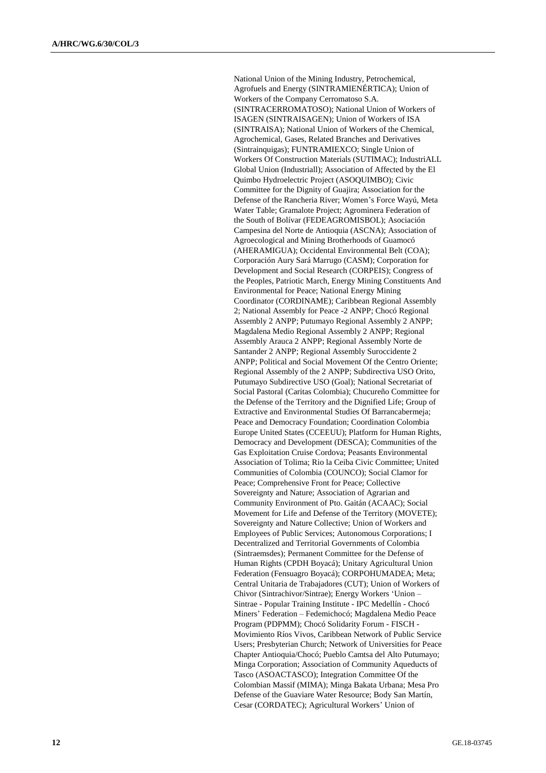National Union of the Mining Industry, Petrochemical, Agrofuels and Energy (SINTRAMIENÉRTICA); Union of Workers of the Company Cerromatoso S.A. (SINTRACERROMATOSO); National Union of Workers of ISAGEN (SINTRAISAGEN); Union of Workers of ISA (SINTRAISA); National Union of Workers of the Chemical, Agrochemical, Gases, Related Branches and Derivatives (Sintrainquigas); FUNTRAMIEXCO; Single Union of Workers Of Construction Materials (SUTIMAC); IndustriALL Global Union (Industriall); Association of Affected by the El Quimbo Hydroelectric Project (ASOQUIMBO); Civic Committee for the Dignity of Guajira; Association for the Defense of the Rancheria River; Women's Force Wayú, Meta Water Table; Gramalote Project; Agrominera Federation of the South of Bolívar (FEDEAGROMISBOL); Asociación Campesina del Norte de Antioquia (ASCNA); Association of Agroecological and Mining Brotherhoods of Guamocó (AHERAMIGUA); Occidental Environmental Belt (COA); Corporación Aury Sará Marrugo (CASM); Corporation for Development and Social Research (CORPEIS); Congress of the Peoples, Patriotic March, Energy Mining Constituents And Environmental for Peace; National Energy Mining Coordinator (CORDINAME); Caribbean Regional Assembly 2; National Assembly for Peace -2 ANPP; Chocó Regional Assembly 2 ANPP; Putumayo Regional Assembly 2 ANPP; Magdalena Medio Regional Assembly 2 ANPP; Regional Assembly Arauca 2 ANPP; Regional Assembly Norte de Santander 2 ANPP; Regional Assembly Suroccidente 2 ANPP; Political and Social Movement Of the Centro Oriente; Regional Assembly of the 2 ANPP; Subdirectiva USO Orito, Putumayo Subdirective USO (Goal); National Secretariat of Social Pastoral (Caritas Colombia); Chucureño Committee for the Defense of the Territory and the Dignified Life; Group of Extractive and Environmental Studies Of Barrancabermeja; Peace and Democracy Foundation; Coordination Colombia Europe United States (CCEEUU); Platform for Human Rights, Democracy and Development (DESCA); Communities of the Gas Exploitation Cruise Cordova; Peasants Environmental Association of Tolima; Rio la Ceiba Civic Committee; United Communities of Colombia (COUNCO); Social Clamor for Peace; Comprehensive Front for Peace; Collective Sovereignty and Nature; Association of Agrarian and Community Environment of Pto. Gaitán (ACAAC); Social Movement for Life and Defense of the Territory (MOVETE); Sovereignty and Nature Collective; Union of Workers and Employees of Public Services; Autonomous Corporations; I Decentralized and Territorial Governments of Colombia (Sintraemsdes); Permanent Committee for the Defense of Human Rights (CPDH Boyacá); Unitary Agricultural Union Federation (Fensuagro Boyacá); CORPOHUMADEA; Meta; Central Unitaria de Trabajadores (CUT); Union of Workers of Chivor (Sintrachivor/Sintrae); Energy Workers 'Union – Sintrae - Popular Training Institute - IPC Medellín - Chocó Miners' Federation – Fedemichocó; Magdalena Medio Peace Program (PDPMM); Chocó Solidarity Forum - FISCH - Movimiento Ríos Vivos, Caribbean Network of Public Service Users; Presbyterian Church; Network of Universities for Peace Chapter Antioquia/Chocó; Pueblo Camtsa del Alto Putumayo; Minga Corporation; Association of Community Aqueducts of Tasco (ASOACTASCO); Integration Committee Of the Colombian Massif (MIMA); Minga Bakata Urbana; Mesa Pro Defense of the Guaviare Water Resource; Body San Martín, Cesar (CORDATEC); Agricultural Workers' Union of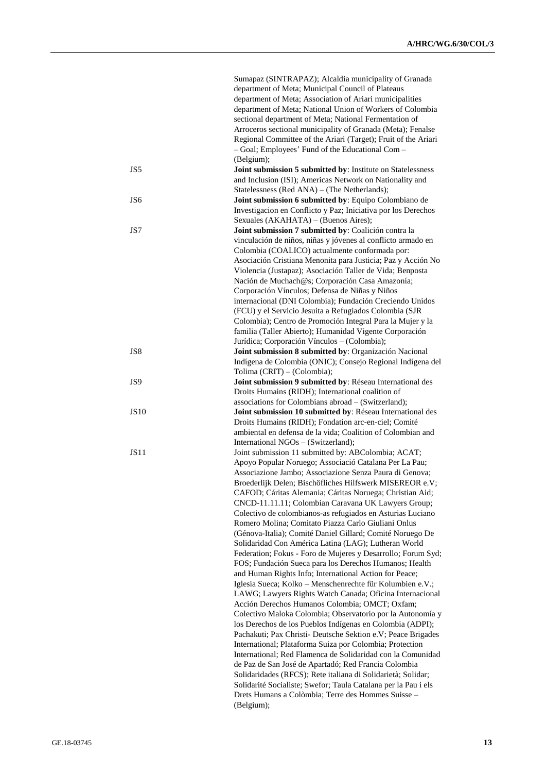|                 | Sumapaz (SINTRAPAZ); Alcaldia municipality of Granada                                                                     |
|-----------------|---------------------------------------------------------------------------------------------------------------------------|
|                 | department of Meta; Municipal Council of Plateaus                                                                         |
|                 | department of Meta; Association of Ariari municipalities                                                                  |
|                 | department of Meta; National Union of Workers of Colombia                                                                 |
|                 | sectional department of Meta; National Fermentation of                                                                    |
|                 | Arroceros sectional municipality of Granada (Meta); Fenalse                                                               |
|                 | Regional Committee of the Ariari (Target); Fruit of the Ariari                                                            |
|                 | - Goal; Employees' Fund of the Educational Com-                                                                           |
|                 | (Belgium);                                                                                                                |
| JS5             | Joint submission 5 submitted by: Institute on Statelessness                                                               |
|                 | and Inclusion (ISI); Americas Network on Nationality and                                                                  |
|                 | Statelessness (Red ANA) - (The Netherlands);                                                                              |
| JS <sub>6</sub> | Joint submission 6 submitted by: Equipo Colombiano de                                                                     |
|                 | Investigacion en Conflicto y Paz; Iniciativa por los Derechos                                                             |
|                 | Sexuales (AKAHATA) - (Buenos Aires);                                                                                      |
| JS7             | Joint submission 7 submitted by: Coalición contra la                                                                      |
|                 | vinculación de niños, niñas y jóvenes al conflicto armado en                                                              |
|                 | Colombia (COALICO) actualmente conformada por:                                                                            |
|                 | Asociación Cristiana Menonita para Justicia; Paz y Acción No                                                              |
|                 | Violencia (Justapaz); Asociación Taller de Vida; Benposta                                                                 |
|                 | Nación de Muchach@s; Corporación Casa Amazonía;                                                                           |
|                 | Corporación Vínculos; Defensa de Niñas y Niños                                                                            |
|                 | internacional (DNI Colombia); Fundación Creciendo Unidos                                                                  |
|                 | (FCU) y el Servicio Jesuita a Refugiados Colombia (SJR                                                                    |
|                 | Colombia); Centro de Promoción Integral Para la Mujer y la                                                                |
|                 | familia (Taller Abierto); Humanidad Vigente Corporación                                                                   |
|                 | Jurídica; Corporación Vínculos - (Colombia);                                                                              |
| JS8             | Joint submission 8 submitted by: Organización Nacional                                                                    |
|                 | Indígena de Colombia (ONIC); Consejo Regional Indígena del                                                                |
|                 | Tolima (CRIT) - (Colombia);                                                                                               |
| JS9             | Joint submission 9 submitted by: Réseau International des                                                                 |
|                 | Droits Humains (RIDH); International coalition of                                                                         |
|                 | associations for Colombians abroad - (Switzerland);                                                                       |
| <b>JS10</b>     | Joint submission 10 submitted by: Réseau International des                                                                |
|                 | Droits Humains (RIDH); Fondation arc-en-ciel; Comité                                                                      |
|                 | ambiental en defensa de la vida; Coalition of Colombian and                                                               |
|                 | International NGOs - (Switzerland);                                                                                       |
| <b>JS11</b>     | Joint submission 11 submitted by: ABColombia; ACAT;                                                                       |
|                 | Apoyo Popular Noruego; Associació Catalana Per La Pau;                                                                    |
|                 | Associazione Jambo; Associazione Senza Paura di Genova;                                                                   |
|                 | Broederlijk Delen; Bischöfliches Hilfswerk MISEREOR e.V;                                                                  |
|                 | CAFOD; Cáritas Alemania; Cáritas Noruega; Christian Aid;                                                                  |
|                 | CNCD-11.11.11; Colombian Caravana UK Lawyers Group;                                                                       |
|                 | Colectivo de colombianos-as refugiados en Asturias Luciano                                                                |
|                 | Romero Molina; Comitato Piazza Carlo Giuliani Onlus                                                                       |
|                 | (Génova-Italia); Comité Daniel Gillard; Comité Noruego De                                                                 |
|                 | Solidaridad Con América Latina (LAG); Lutheran World                                                                      |
|                 | Federation; Fokus - Foro de Mujeres y Desarrollo; Forum Syd;                                                              |
|                 | FOS; Fundación Sueca para los Derechos Humanos; Health                                                                    |
|                 | and Human Rights Info; International Action for Peace;                                                                    |
|                 | Iglesia Sueca; Kolko - Menschenrechte für Kolumbien e.V.;                                                                 |
|                 | LAWG; Lawyers Rights Watch Canada; Oficina Internacional                                                                  |
|                 | Acción Derechos Humanos Colombia; OMCT; Oxfam;                                                                            |
|                 | Colectivo Maloka Colombia; Observatorio por la Autonomía y                                                                |
|                 | los Derechos de los Pueblos Indígenas en Colombia (ADPI);<br>Pachakuti; Pax Christi- Deutsche Sektion e.V; Peace Brigades |
|                 |                                                                                                                           |
|                 | International; Plataforma Suiza por Colombia; Protection<br>International; Red Flamenca de Solidaridad con la Comunidad   |
|                 |                                                                                                                           |
|                 | de Paz de San José de Apartadó; Red Francia Colombia                                                                      |
|                 | Solidaridades (RFCS); Rete italiana di Solidarietà; Solidar;                                                              |
|                 | Solidarité Socialiste; Swefor; Taula Catalana per la Pau i els                                                            |
|                 | Drets Humans a Colòmbia; Terre des Hommes Suisse -                                                                        |
|                 | (Belgium);                                                                                                                |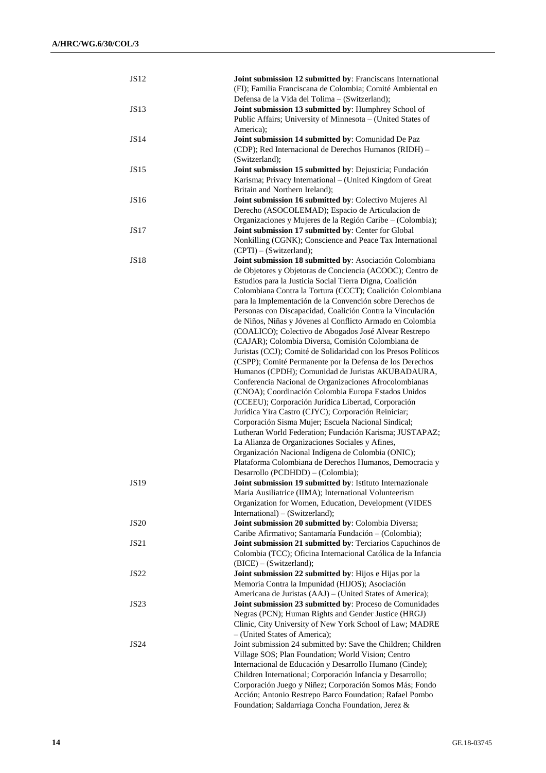| <b>JS12</b> | Joint submission 12 submitted by: Franciscans International                                                        |
|-------------|--------------------------------------------------------------------------------------------------------------------|
|             | (FI); Familia Franciscana de Colombia; Comité Ambiental en                                                         |
|             | Defensa de la Vida del Tolima - (Switzerland);                                                                     |
| <b>JS13</b> | Joint submission 13 submitted by: Humphrey School of                                                               |
|             | Public Affairs; University of Minnesota - (United States of                                                        |
|             | America);                                                                                                          |
| <b>JS14</b> | Joint submission 14 submitted by: Comunidad De Paz                                                                 |
|             | (CDP); Red Internacional de Derechos Humanos (RIDH) -                                                              |
|             | (Switzerland);                                                                                                     |
| <b>JS15</b> | Joint submission 15 submitted by: Dejusticia; Fundación                                                            |
|             | Karisma; Privacy International - (United Kingdom of Great                                                          |
| <b>JS16</b> | Britain and Northern Ireland);                                                                                     |
|             | Joint submission 16 submitted by: Colectivo Mujeres Al<br>Derecho (ASOCOLEMAD); Espacio de Articulacion de         |
|             | Organizaciones y Mujeres de la Región Caribe - (Colombia);                                                         |
| <b>JS17</b> | Joint submission 17 submitted by: Center for Global                                                                |
|             | Nonkilling (CGNK); Conscience and Peace Tax International                                                          |
|             | (CPTI) - (Switzerland);                                                                                            |
| <b>JS18</b> | Joint submission 18 submitted by: Asociación Colombiana                                                            |
|             | de Objetores y Objetoras de Conciencia (ACOOC); Centro de                                                          |
|             | Estudios para la Justicia Social Tierra Digna, Coalición                                                           |
|             | Colombiana Contra la Tortura (CCCT); Coalición Colombiana                                                          |
|             | para la Implementación de la Convención sobre Derechos de                                                          |
|             | Personas con Discapacidad, Coalición Contra la Vinculación                                                         |
|             | de Niños, Niñas y Jóvenes al Conflicto Armado en Colombia                                                          |
|             | (COALICO); Colectivo de Abogados José Alvear Restrepo                                                              |
|             | (CAJAR); Colombia Diversa, Comisión Colombiana de                                                                  |
|             | Juristas (CCJ); Comité de Solidaridad con los Presos Políticos                                                     |
|             | (CSPP); Comité Permanente por la Defensa de los Derechos                                                           |
|             | Humanos (CPDH); Comunidad de Juristas AKUBADAURA,                                                                  |
|             | Conferencia Nacional de Organizaciones Afrocolombianas                                                             |
|             | (CNOA); Coordinación Colombia Europa Estados Unidos                                                                |
|             | (CCEEU); Corporación Jurídica Libertad, Corporación                                                                |
|             | Jurídica Yira Castro (CJYC); Corporación Reiniciar;                                                                |
|             | Corporación Sisma Mujer; Escuela Nacional Sindical;                                                                |
|             | Lutheran World Federation; Fundación Karisma; JUSTAPAZ;                                                            |
|             | La Alianza de Organizaciones Sociales y Afines,                                                                    |
|             | Organización Nacional Indígena de Colombia (ONIC);                                                                 |
|             | Plataforma Colombiana de Derechos Humanos, Democracia y                                                            |
|             | Desarrollo (PCDHDD) - (Colombia);                                                                                  |
| <b>JS19</b> | Joint submission 19 submitted by: Istituto Internazionale<br>Maria Ausiliatrice (IIMA); International Volunteerism |
|             | Organization for Women, Education, Development (VIDES                                                              |
|             | International) – (Switzerland);                                                                                    |
| <b>JS20</b> | Joint submission 20 submitted by: Colombia Diversa;                                                                |
|             | Caribe Afirmativo; Santamaría Fundación - (Colombia);                                                              |
| JS21        | Joint submission 21 submitted by: Terciarios Capuchinos de                                                         |
|             | Colombia (TCC); Oficina Internacional Católica de la Infancia                                                      |
|             | (BICE) - (Switzerland);                                                                                            |
| <b>JS22</b> | Joint submission 22 submitted by: Hijos e Hijas por la                                                             |
|             | Memoria Contra la Impunidad (HIJOS); Asociación                                                                    |
|             | Americana de Juristas (AAJ) - (United States of America);                                                          |
| JS23        | Joint submission 23 submitted by: Proceso de Comunidades                                                           |
|             | Negras (PCN); Human Rights and Gender Justice (HRGJ)                                                               |
|             | Clinic, City University of New York School of Law; MADRE                                                           |
|             | - (United States of America);                                                                                      |
| JS24        | Joint submission 24 submitted by: Save the Children; Children                                                      |
|             | Village SOS; Plan Foundation; World Vision; Centro                                                                 |
|             | Internacional de Educación y Desarrollo Humano (Cinde);                                                            |
|             | Children International; Corporación Infancia y Desarrollo;                                                         |
|             | Corporación Juego y Niñez; Corporación Somos Más; Fondo                                                            |
|             | Acción; Antonio Restrepo Barco Foundation; Rafael Pombo                                                            |
|             | Foundation; Saldarriaga Concha Foundation, Jerez &                                                                 |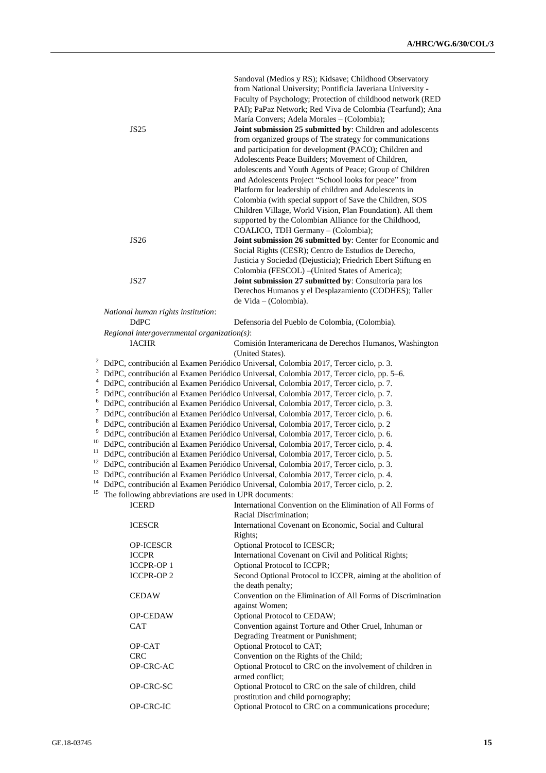|    |  |                                                        | Sandoval (Medios y RS); Kidsave; Childhood Observatory                                  |
|----|--|--------------------------------------------------------|-----------------------------------------------------------------------------------------|
|    |  |                                                        | from National University; Pontificia Javeriana University -                             |
|    |  |                                                        | Faculty of Psychology; Protection of childhood network (RED                             |
|    |  |                                                        | PAI); PaPaz Network; Red Viva de Colombia (Tearfund); Ana                               |
|    |  |                                                        | María Convers; Adela Morales - (Colombia);                                              |
|    |  | <b>JS25</b>                                            | Joint submission 25 submitted by: Children and adolescents                              |
|    |  |                                                        | from organized groups of The strategy for communications                                |
|    |  |                                                        | and participation for development (PACO); Children and                                  |
|    |  |                                                        | Adolescents Peace Builders; Movement of Children,                                       |
|    |  |                                                        | adolescents and Youth Agents of Peace; Group of Children                                |
|    |  |                                                        | and Adolescents Project "School looks for peace" from                                   |
|    |  |                                                        | Platform for leadership of children and Adolescents in                                  |
|    |  |                                                        | Colombia (with special support of Save the Children, SOS                                |
|    |  |                                                        | Children Village, World Vision, Plan Foundation). All them                              |
|    |  |                                                        | supported by the Colombian Alliance for the Childhood,                                  |
|    |  |                                                        | COALICO, TDH Germany - (Colombia);                                                      |
|    |  | <b>JS26</b>                                            | Joint submission 26 submitted by: Center for Economic and                               |
|    |  |                                                        | Social Rights (CESR); Centro de Estudios de Derecho,                                    |
|    |  |                                                        | Justicia y Sociedad (Dejusticia); Friedrich Ebert Stiftung en                           |
|    |  |                                                        | Colombia (FESCOL) - (United States of America);                                         |
|    |  | JS27                                                   | Joint submission 27 submitted by: Consultoría para los                                  |
|    |  |                                                        | Derechos Humanos y el Desplazamiento (CODHES); Taller                                   |
|    |  |                                                        | de Vida - (Colombia).                                                                   |
|    |  | National human rights institution:                     |                                                                                         |
|    |  | <b>DdPC</b>                                            | Defensoria del Pueblo de Colombia, (Colombia).                                          |
|    |  | $Regional$ intergovernmental organization(s):          |                                                                                         |
|    |  | <b>IACHR</b>                                           | Comisión Interamericana de Derechos Humanos, Washington                                 |
|    |  |                                                        | (United States).                                                                        |
| 2  |  |                                                        | DdPC, contribución al Examen Periódico Universal, Colombia 2017, Tercer ciclo, p. 3.    |
| 3  |  |                                                        | DdPC, contribución al Examen Periódico Universal, Colombia 2017, Tercer ciclo, pp. 5–6. |
| 4  |  |                                                        | DdPC, contribución al Examen Periódico Universal, Colombia 2017, Tercer ciclo, p. 7.    |
| 5  |  |                                                        | DdPC, contribución al Examen Periódico Universal, Colombia 2017, Tercer ciclo, p. 7.    |
| 6  |  |                                                        | DdPC, contribución al Examen Periódico Universal, Colombia 2017, Tercer ciclo, p. 3.    |
| 7  |  |                                                        | DdPC, contribución al Examen Periódico Universal, Colombia 2017, Tercer ciclo, p. 6.    |
| 8  |  |                                                        | DdPC, contribución al Examen Periódico Universal, Colombia 2017, Tercer ciclo, p. 2     |
| 9  |  |                                                        | DdPC, contribución al Examen Periódico Universal, Colombia 2017, Tercer ciclo, p. 6.    |
| 10 |  |                                                        | DdPC, contribución al Examen Periódico Universal, Colombia 2017, Tercer ciclo, p. 4.    |
| 11 |  |                                                        | DdPC, contribución al Examen Periódico Universal, Colombia 2017, Tercer ciclo, p. 5.    |
| 12 |  |                                                        | DdPC, contribución al Examen Periódico Universal, Colombia 2017, Tercer ciclo, p. 3.    |
| 13 |  |                                                        | DdPC, contribución al Examen Periódico Universal, Colombia 2017, Tercer ciclo, p. 4.    |
| 14 |  |                                                        | DdPC, contribución al Examen Periódico Universal, Colombia 2017, Tercer ciclo, p. 2.    |
| 15 |  | The following abbreviations are used in UPR documents: |                                                                                         |
|    |  | <b>ICERD</b>                                           | International Convention on the Elimination of All Forms of                             |
|    |  |                                                        | Racial Discrimination;                                                                  |
|    |  | <b>ICESCR</b>                                          | International Covenant on Economic, Social and Cultural                                 |
|    |  |                                                        | Rights;                                                                                 |
|    |  | <b>OP-ICESCR</b>                                       | Optional Protocol to ICESCR;                                                            |
|    |  | <b>ICCPR</b>                                           | International Covenant on Civil and Political Rights;                                   |
|    |  | <b>ICCPR-OP1</b>                                       | Optional Protocol to ICCPR;                                                             |
|    |  | <b>ICCPR-OP2</b>                                       | Second Optional Protocol to ICCPR, aiming at the abolition of                           |
|    |  |                                                        | the death penalty;                                                                      |
|    |  | <b>CEDAW</b>                                           | Convention on the Elimination of All Forms of Discrimination                            |
|    |  |                                                        | against Women;                                                                          |
|    |  | OP-CEDAW                                               | Optional Protocol to CEDAW;                                                             |
|    |  | CAT                                                    | Convention against Torture and Other Cruel, Inhuman or                                  |
|    |  |                                                        | Degrading Treatment or Punishment;                                                      |
|    |  | OP-CAT                                                 | Optional Protocol to CAT;                                                               |
|    |  | <b>CRC</b>                                             | Convention on the Rights of the Child;                                                  |
|    |  | OP-CRC-AC                                              | Optional Protocol to CRC on the involvement of children in                              |
|    |  |                                                        | armed conflict;                                                                         |
|    |  | OP-CRC-SC                                              | Optional Protocol to CRC on the sale of children, child                                 |
|    |  |                                                        | prostitution and child pornography;                                                     |
|    |  | OP-CRC-IC                                              | Optional Protocol to CRC on a communications procedure;                                 |
|    |  |                                                        |                                                                                         |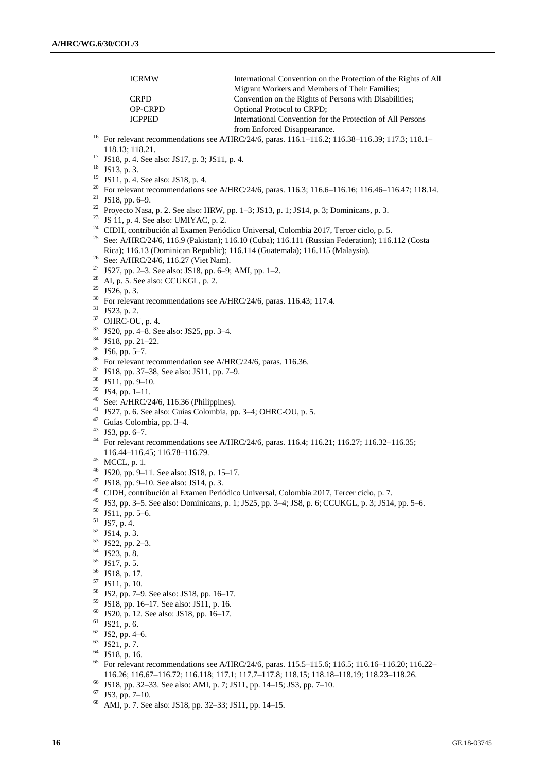ICRMW International Convention on the Protection of the Rights of All Migrant Workers and Members of Their Families; CRPD Convention on the Rights of Persons with Disabilities;<br>
OP-CRPD Optional Protocol to CRPD: Optional Protocol to CRPD; ICPPED International Convention for the Protection of All Persons from Enforced Disappearance. <sup>16</sup> For relevant recommendations see A/HRC/24/6, paras. 116.1–116.2; 116.38–116.39; 117.3; 118.1– 118.13; 118.21. <sup>17</sup> JS18, p. 4. See also: JS17, p. 3; JS11, p. 4. <sup>18</sup> JS13, p. 3. <sup>19</sup> JS11, p. 4. See also: JS18, p. 4. <sup>20</sup> For relevant recommendations see A/HRC/24/6, paras. 116.3; 116.6–116.16; 116.46–116.47; 118.14. <sup>21</sup> JS18, pp. 6–9. <sup>22</sup> Proyecto Nasa, p. 2. See also: HRW, pp. 1–3; JS13, p. 1; JS14, p. 3; Dominicans, p. 3. <sup>23</sup> JS 11, p. 4. See also: UMIYAC, p. 2. <sup>24</sup> CIDH, contribución al Examen Periódico Universal, Colombia 2017, Tercer ciclo, p. 5. <sup>25</sup> See: A/HRC/24/6, 116.9 (Pakistan); 116.10 (Cuba); 116.111 (Russian Federation); 116.112 (Costa Rica); 116.13 (Dominican Republic); 116.114 (Guatemala); 116.115 (Malaysia). <sup>26</sup> See: A/HRC/24/6, 116.27 (Viet Nam). <sup>27</sup> JS27, pp. 2–3. See also: JS18, pp. 6–9; AMI, pp. 1–2.  $28$  AI, p. 5. See also: CCUKGL, p. 2.  $29$  JS26, p. 3. <sup>30</sup> For relevant recommendations see A/HRC/24/6, paras. 116.43; 117.4. <sup>31</sup> JS23, p. 2. <sup>32</sup> OHRC-OU, p. 4.  $^{33}$  JS20, pp. 4–8. See also: JS25, pp. 3–4.<br> $^{34}$  JS18 pp. 21.22  $^{34}$  JS18, pp. 21–22.  $\frac{35}{36}$  JS6, pp. 5–7. For relevant recommendation see A/HRC/24/6, paras. 116.36.  $^{37}$  JS18, pp. 37–38, See also: JS11, pp. 7–9.<br> $^{38}$  JS11, pp. 0, 10. <sup>38</sup> JS11, pp. 9–10. <sup>39</sup> JS4, pp. 1–11. <sup>40</sup> See: A/HRC/24/6, 116.36 (Philippines). <sup>41</sup> JS27, p. 6. See also: Guías Colombia, pp. 3–4; OHRC-OU, p. 5. <sup>42</sup> Guías Colombia, pp. 3–4. <sup>43</sup> JS3, pp. 6–7. <sup>44</sup> For relevant recommendations see A/HRC/24/6, paras. 116.4; 116.21; 116.27; 116.32–116.35; 116.44–116.45; 116.78–116.79. <sup>45</sup> MCCL, p. 1. <sup>46</sup> JS20, pp. 9–11. See also: JS18, p. 15–17. <sup>47</sup> JS18, pp. 9–10. See also: JS14, p. 3. <sup>48</sup> CIDH, contribución al Examen Periódico Universal, Colombia 2017, Tercer ciclo, p. 7. <sup>49</sup> JS3, pp. 3–5. See also: Dominicans, p. 1; JS25, pp. 3–4; JS8, p. 6; CCUKGL, p. 3; JS14, pp. 5–6.  $50$  JS11, pp. 5–6.  $51$  JS7, p. 4. <sup>52</sup> JS14, p. 3. <sup>53</sup> JS22, pp. 2–3. <sup>54</sup> JS23, p. 8.  $^{55}$  JS17, p. 5.<br> $^{56}$  JS18 p. 17 JS18, p. 17.  $\frac{57}{58}$  JS11, p. 10.  $^{58}$  JS2, pp. 7–9. See also: JS18, pp. 16–17. <sup>59</sup> JS18, pp. 16–17. See also: JS11, p. 16. <sup>60</sup> JS20, p. 12. See also: JS18, pp. 16–17.  $61$  JS21, p. 6.  $62$  JS2, pp. 4–6. <sup>63</sup> JS21, p. 7. <sup>64</sup> JS18, p. 16. <sup>65</sup> For relevant recommendations see A/HRC/24/6, paras. 115.5–115.6; 116.5; 116.16–116.20; 116.22– 116.26; 116.67–116.72; 116.118; 117.1; 117.7–117.8; 118.15; 118.18–118.19; 118.23–118.26. <sup>66</sup> JS18, pp. 32–33. See also: AMI, p. 7; JS11, pp. 14–15; JS3, pp. 7–10.  $67$  JS3, pp. 7–10. <sup>68</sup> AMI, p. 7. See also: JS18, pp. 32–33; JS11, pp. 14–15.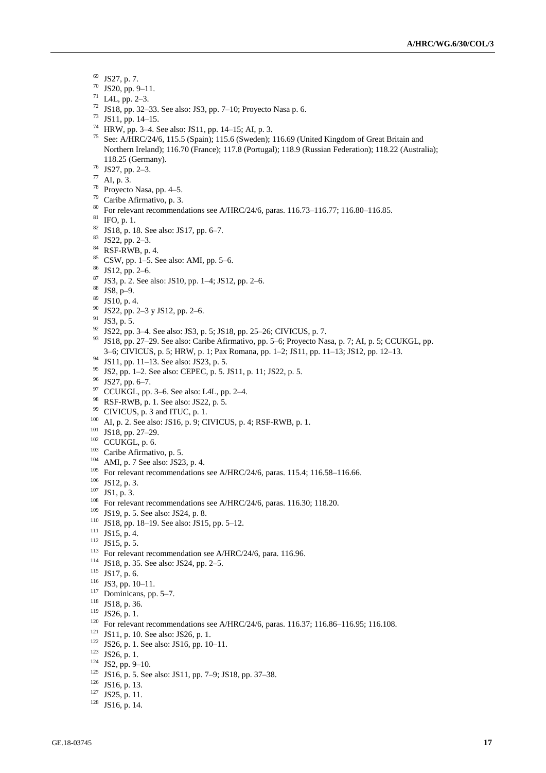- JS27, p. 7.
- JS20, pp. 9–11.
- L4L, pp. 2–3.
- JS18, pp. 32–33. See also: JS3, pp. 7–10; Proyecto Nasa p. 6.
- JS11, pp. 14–15.
- HRW, pp. 3–4. See also: JS11, pp. 14–15; AI, p. 3.
- See: A/HRC/24/6, 115.5 (Spain); 115.6 (Sweden); 116.69 (United Kingdom of Great Britain and Northern Ireland); 116.70 (France); 117.8 (Portugal); 118.9 (Russian Federation); 118.22 (Australia); 118.25 (Germany).
- JS27, pp. 2–3.
- AI, p. 3.
- Proyecto Nasa, pp. 4–5.
- Caribe Afirmativo, p. 3.
- For relevant recommendations see A/HRC/24/6, paras. 116.73–116.77; 116.80–116.85.
- IFO, p. 1.
- JS18, p. 18. See also: JS17, pp. 6–7.
- JS22, pp. 2–3.
- RSF-RWB, p. 4.
- CSW, pp. 1–5. See also: AMI, pp. 5–6.
- JS12, pp. 2–6.
- JS3, p. 2. See also: JS10, pp. 1–4; JS12, pp. 2–6.
- JS8, p–9.
- JS10, p. 4.
- JS22, pp. 2–3 y JS12, pp. 2–6.
- JS3, p. 5.
- JS22, pp. 3–4. See also: JS3, p. 5; JS18, pp. 25–26; CIVICUS, p. 7.
- <sup>93</sup> JS18, pp. 27–29. See also: Caribe Afirmativo, pp. 5–6; Proyecto Nasa, p. 7; AI, p. 5; CCUKGL, pp. 3–6; CIVICUS, p. 5; HRW, p. 1; Pax Romana, pp. 1–2; JS11, pp. 11–13; JS12, pp. 12–13.
- JS11, pp. 11–13. See also: JS23, p. 5.
- JS2, pp. 1–2. See also: CEPEC, p. 5. JS11, p. 11; JS22, p. 5.
- JS27, pp. 6–7.
- CCUKGL, pp. 3–6. See also: L4L, pp. 2–4.
- RSF-RWB, p. 1. See also: JS22, p. 5.
- <sup>99</sup> CIVICUS, p. 3 and ITUC, p. 1.
- AI, p. 2. See also: JS16, p. 9; CIVICUS, p. 4; RSF-RWB, p. 1.
- JS18, pp. 27–29.
- CCUKGL, p. 6.
- <sup>103</sup> Caribe Afirmativo, p. 5.
- AMI, p. 7 See also: JS23, p. 4.
- <sup>105</sup> For relevant recommendations see A/HRC/24/6, paras. 115.4; 116.58-116.66.
- JS12, p. 3.
- JS1, p. 3.
- For relevant recommendations see A/HRC/24/6, paras. 116.30; 118.20.
- JS19, p. 5. See also: JS24, p. 8.
- JS18, pp. 18–19. See also: JS15, pp. 5–12.
- JS15, p. 4.
- JS15, p. 5.
- <sup>113</sup> For relevant recommendation see A/HRC/24/6, para. 116.96.
- JS18, p. 35. See also: JS24, pp. 2–5.
- JS17, p. 6.
- JS3, pp. 10–11.
- <sup>117</sup> Dominicans, pp. 5–7.
- JS18, p. 36.
- JS26, p. 1.
- <sup>120</sup> For relevant recommendations see A/HRC/24/6, paras. 116.37; 116.86–116.95; 116.108.
- JS11, p. 10. See also: JS26, p. 1.
- JS26, p. 1. See also: JS16, pp. 10–11.
- JS26, p. 1.
- JS2, pp. 9–10.
- JS16, p. 5. See also: JS11, pp. 7–9; JS18, pp. 37–38.
- JS16, p. 13.
- JS25, p. 11.
- JS16, p. 14.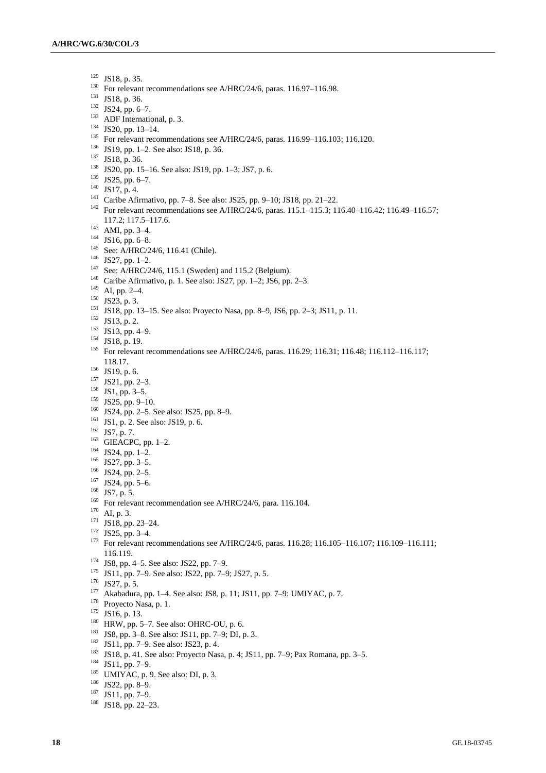- JS18, p. 35.
- <sup>130</sup> For relevant recommendations see A/HRC/24/6, paras. 116.97-116.98.
- JS18, p. 36.
- JS24, pp. 6–7.
- <sup>133</sup> ADF International, p. 3.
- JS20, pp. 13–14.
- <sup>135</sup> For relevant recommendations see A/HRC/24/6, paras. 116.99–116.103; 116.120.
- JS19, pp. 1–2. See also: JS18, p. 36.
- JS18, p. 36.
- JS20, pp. 15–16. See also: JS19, pp. 1–3; JS7, p. 6.
- JS25, pp. 6–7.
- JS17, p. 4.
- Caribe Afirmativo, pp. 7–8. See also: JS25, pp. 9–10; JS18, pp. 21–22.
- <sup>142</sup> For relevant recommendations see A/HRC/24/6, paras. 115.1–115.3; 116.40–116.42; 116.49–116.57; 117.2; 117.5–117.6.
- AMI, pp. 3–4.
- JS16, pp. 6–8.
- <sup>145</sup> See: A/HRC/24/6, 116.41 (Chile).
- JS27, pp. 1–2.
- <sup>147</sup> See: A/HRC/24/6, 115.1 (Sweden) and 115.2 (Belgium).
- Caribe Afirmativo, p. 1. See also: JS27, pp. 1–2; JS6, pp. 2–3.
- AI, pp. 2–4.
- JS23, p. 3.
- JS18, pp. 13–15. See also: Proyecto Nasa, pp. 8–9, JS6, pp. 2–3; JS11, p. 11.
- JS13, p. 2.
- JS13, pp. 4–9.
- JS18, p. 19.
- For relevant recommendations see A/HRC/24/6, paras. 116.29; 116.31; 116.48; 116.112–116.117; 118.17.
- JS19, p. 6.
- JS21, pp. 2–3.
- JS1, pp. 3–5.
- JS25, pp. 9-10.
- JS24, pp. 2–5. See also: JS25, pp. 8–9.
- <sup>161</sup> JS1, p. 2. See also: JS19, p. 6.
- JS7, p. 7.
- GIEACPC, pp. 1–2.
- JS24, pp. 1–2.
- JS27, pp. 3–5.
- JS24, pp. 2–5.
- JS24, pp. 5–6.
- JS7, p. 5.
- <sup>169</sup> For relevant recommendation see A/HRC/24/6, para. 116.104.
- AI, p. 3.
- JS18, pp. 23–24.
- JS25, pp. 3–4.
- <sup>173</sup> For relevant recommendations see A/HRC/24/6, paras. 116.28; 116.105-116.107; 116.109-116.111; 116.119.
- JS8, pp. 4–5. See also: JS22, pp. 7–9.
- JS11, pp. 7–9. See also: JS22, pp. 7–9; JS27, p. 5.
- JS27, p. 5.
- Akabadura, pp. 1–4. See also: JS8, p. 11; JS11, pp. 7–9; UMIYAC, p. 7.
- <sup>178</sup> Proyecto Nasa, p. 1.
- JS16, p. 13.
- HRW, pp. 5–7. See also: OHRC-OU, p. 6.
- JS8, pp. 3–8. See also: JS11, pp. 7–9; DI, p. 3.
- JS11, pp. 7–9. See also: JS23, p. 4.
- JS18, p. 41. See also: Proyecto Nasa, p. 4; JS11, pp. 7–9; Pax Romana, pp. 3–5.
- JS11, pp. 7-9.
- <sup>185</sup> UMIYAC, p. 9. See also: DI, p. 3.
- JS22, pp. 8–9.
- JS11, pp. 7–9.
- JS18, pp. 22–23.